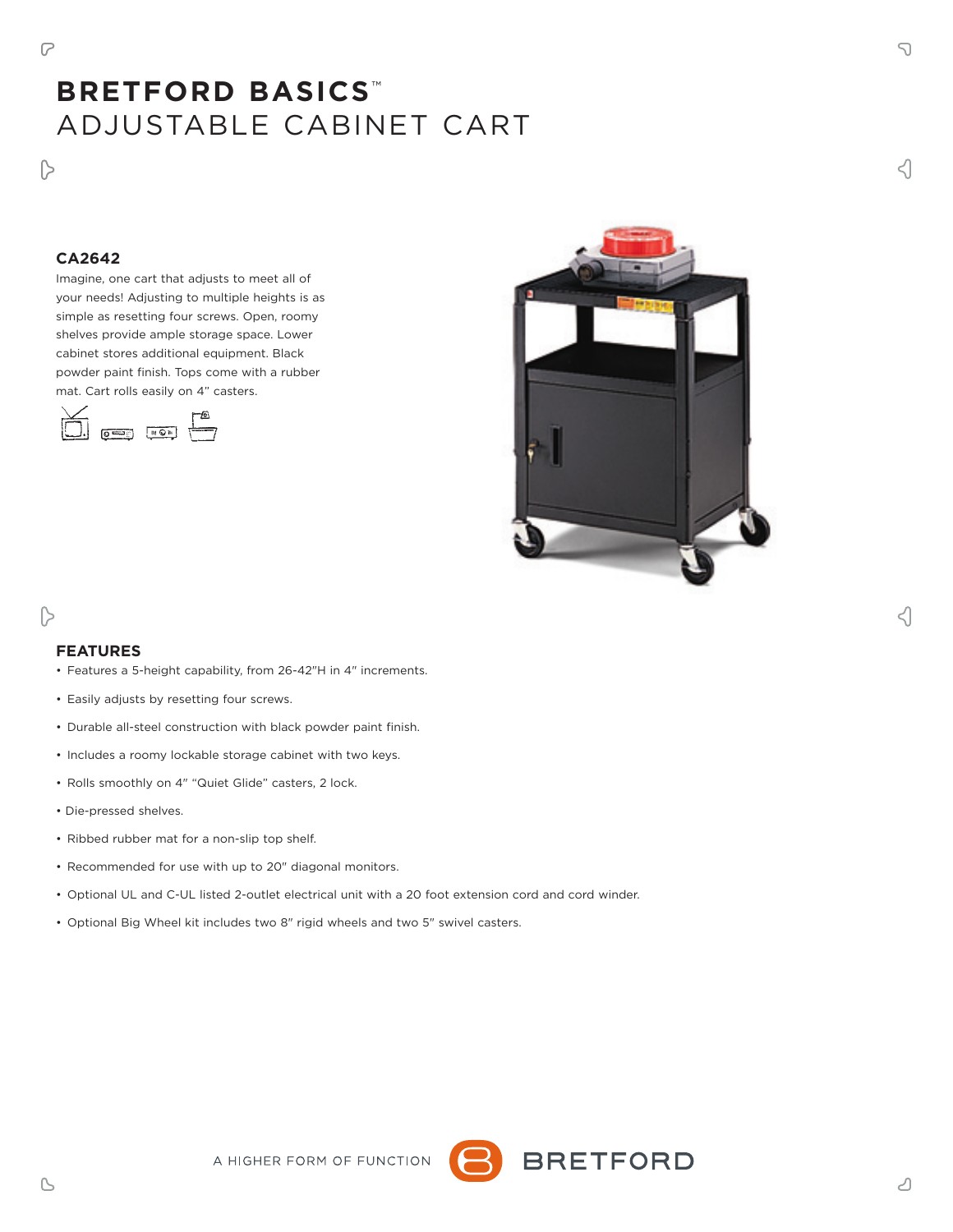$\triangleright$ 

# **BRETFORD BASICS** ™ ADJUSTABLE CABINET CART

# **CA2642**

Imagine, one cart that adjusts to meet all of your needs! Adjusting to multiple heights is as simple as resetting four screws. Open, roomy shelves provide ample storage space. Lower cabinet stores additional equipment. Black powder paint finish. Tops come with a rubber mat. Cart rolls easily on 4" casters.





## **FEATURES**

 $\triangleright$ 

- Features a 5-height capability, from 26-42"H in 4" increments.
- Easily adjusts by resetting four screws.
- Durable all-steel construction with black powder paint finish.
- Includes a roomy lockable storage cabinet with two keys.
- Rolls smoothly on 4" "Quiet Glide" casters, 2 lock.
- Die-pressed shelves.
- Ribbed rubber mat for a non-slip top shelf.
- Recommended for use with up to 20" diagonal monitors.
- Optional UL and C-UL listed 2-outlet electrical unit with a 20 foot extension cord and cord winder.

A HIGHER FORM OF FUNCTION

• Optional Big Wheel kit includes two 8" rigid wheels and two 5" swivel casters.



≺।

B